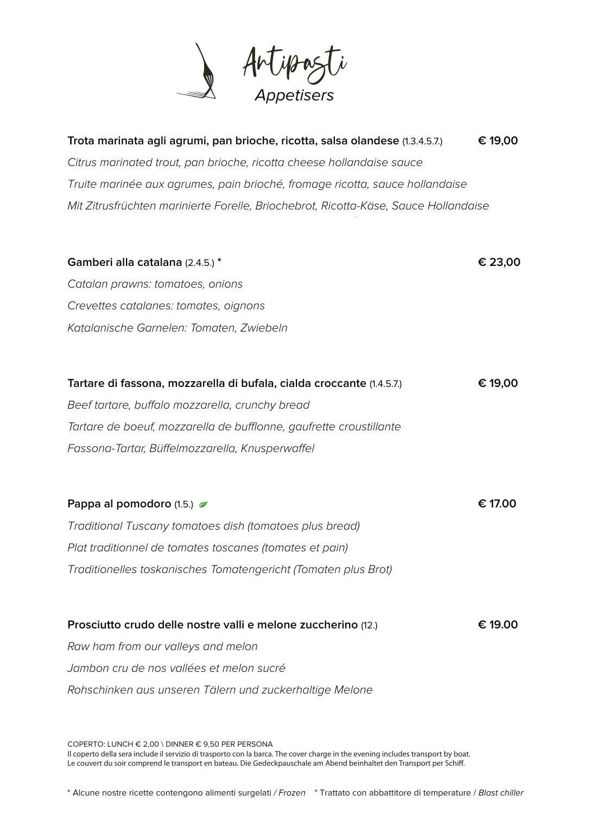

| Trota marinata agli agrumi, pan brioche, ricotta, salsa olandese (1.3.4.5.7.)       | € 19,00 |
|-------------------------------------------------------------------------------------|---------|
| Citrus marinated trout, pan brioche, ricotta cheese hollandaise sauce               |         |
| Truite marinée aux agrumes, pain brioché, fromage ricotta, sauce hollandaise        |         |
| Mit Zitrusfrüchten marinierte Forelle, Briochebrot, Ricotta-Käse, Sauce Hollandaise |         |
|                                                                                     |         |
| Gamberi alla catalana (2.4.5.) *                                                    | € 23,00 |
| Catalan prawns: tomatoes, onions                                                    |         |
| Crevettes catalanes: tomates, oignons                                               |         |
| Katalanische Garnelen: Tomaten, Zwiebeln                                            |         |
|                                                                                     |         |
| Tartare di fassona, mozzarella di bufala, cialda croccante (1.4.5.7.)               | € 19,00 |
| Beef tartare, buffalo mozzarella, crunchy bread                                     |         |
| Tartare de boeuf, mozzarella de bufflonne, gaufrette croustillante                  |         |
| Fassona-Tartar, Büffelmozzarella, Knusperwaffel                                     |         |
|                                                                                     |         |
| Pappa al pomodoro (1.5.)                                                            | € 17.00 |
| Traditional Tuscany tomatoes dish (tomatoes plus bread)                             |         |
| Plat traditionnel de tomates toscanes (tomates et pain)                             |         |
| Traditionelles toskanisches Tomatengericht (Tomaten plus Brot)                      |         |
|                                                                                     |         |
| Prosciutto crudo delle nostre valli e melone zuccherino (12.)                       | € 19.00 |
| Raw ham from our valleys and melon                                                  |         |
| Jambon cru de nos vallées et melon sucré                                            |         |
| Rohschinken aus unseren Tälern und zuckerhaltige Melone                             |         |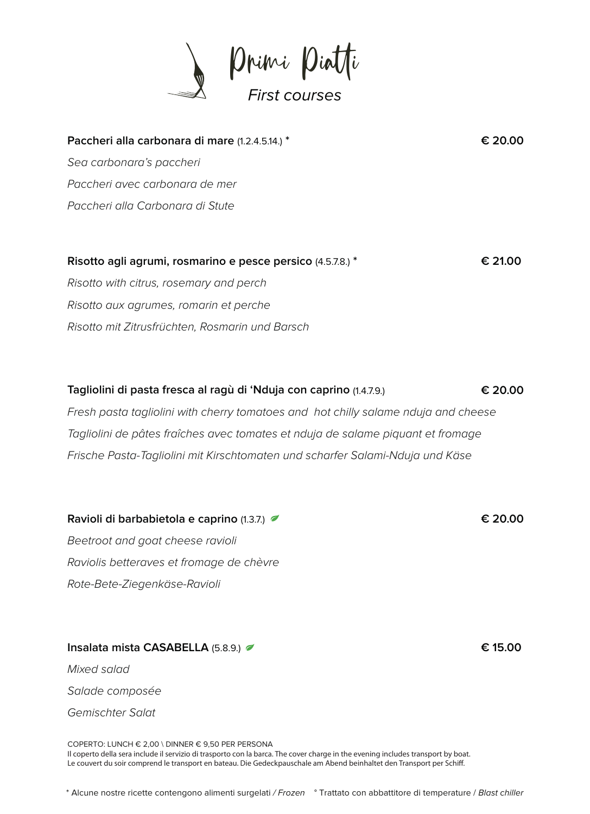

| Paccheri alla carbonara di mare (1.2.4.5.14.) *             | € 20.00 |
|-------------------------------------------------------------|---------|
| Sea carbonara's paccheri                                    |         |
| Paccheri avec carbonara de mer                              |         |
| Paccheri alla Carbonara di Stute                            |         |
|                                                             |         |
| Risotto agli agrumi, rosmarino e pesce persico (4.5.7.8.) * | € 21.00 |
| Risotto with citrus, rosemary and perch                     |         |

Risotto aux agrumes, romarin et perche Risotto mit Zitrusfrüchten, Rosmarin und Barsch

**Tagliolini di pasta fresca al ragù di 'Nduja con caprino** (1.4.7.9.) **€ 20.00** Fresh pasta tagliolini with cherry tomatoes and hot chilly salame nduja and cheese Tagliolini de pâtes fraîches avec tomates et nduja de salame piquant et fromage Frische Pasta-Tagliolini mit Kirschtomaten und scharfer Salami-Nduja und Käse

**Ravioli di barbabietola e caprino** (1.3.7.) **€ 20.00** Beetroot and goat cheese ravioli Raviolis betteraves et fromage de chèvre Rote-Bete-Ziegenkäse-Ravioli

**Insalata mista CASABELLA** (5.8.9.) **€ 15.00** Mixed salad Salade composée

Gemischter Salat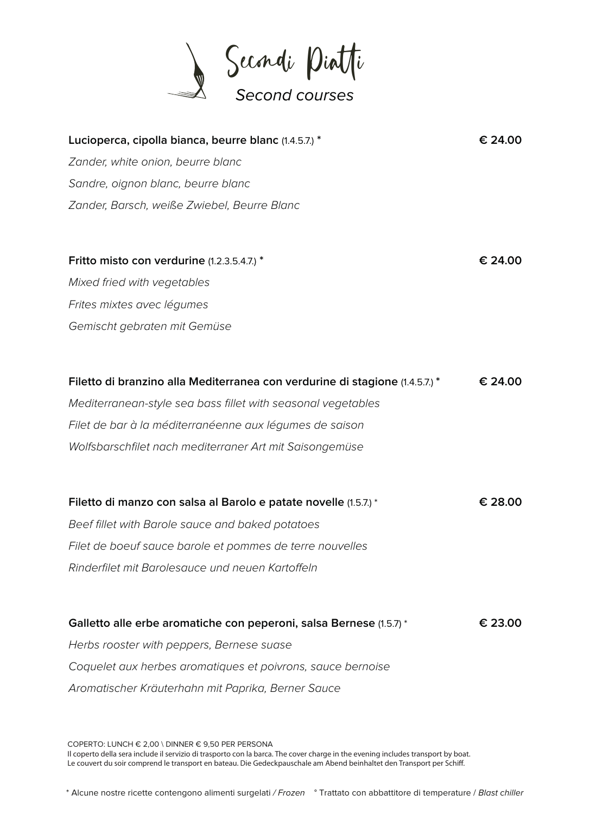

| Lucioperca, cipolla bianca, beurre blanc (1.4.5.7.) *                        | € 24.00 |
|------------------------------------------------------------------------------|---------|
| Zander, white onion, beurre blanc                                            |         |
| Sandre, oignon blanc, beurre blanc                                           |         |
| Zander, Barsch, weiße Zwiebel, Beurre Blanc                                  |         |
|                                                                              |         |
| Fritto misto con verdurine (1.2.3.5.4.7.) *                                  | € 24.00 |
| Mixed fried with vegetables                                                  |         |
| Frites mixtes avec légumes                                                   |         |
| Gemischt gebraten mit Gemüse                                                 |         |
|                                                                              |         |
| Filetto di branzino alla Mediterranea con verdurine di stagione (1.4.5.7.) * | € 24.00 |
| Mediterranean-style sea bass fillet with seasonal vegetables                 |         |
| Filet de bar à la méditerranéenne aux légumes de saison                      |         |
| Wolfsbarschfilet nach mediterraner Art mit Saisongemüse                      |         |
| Filetto di manzo con salsa al Barolo e patate novelle (1.5.7.) *             | € 28.00 |
| Beef fillet with Barole sauce and baked potatoes                             |         |
| Filet de boeuf sauce barole et pommes de terre nouvelles                     |         |
| Rinderfilet mit Barolesauce und neuen Kartoffeln                             |         |
|                                                                              |         |
| Galletto alle erbe aromatiche con peperoni, salsa Bernese (1.5.7) *          | € 23.00 |
| Herbs rooster with peppers, Bernese suase                                    |         |
| Coquelet aux herbes aromatiques et poivrons, sauce bernoise                  |         |
| Aromatischer Kräuterhahn mit Paprika, Berner Sauce                           |         |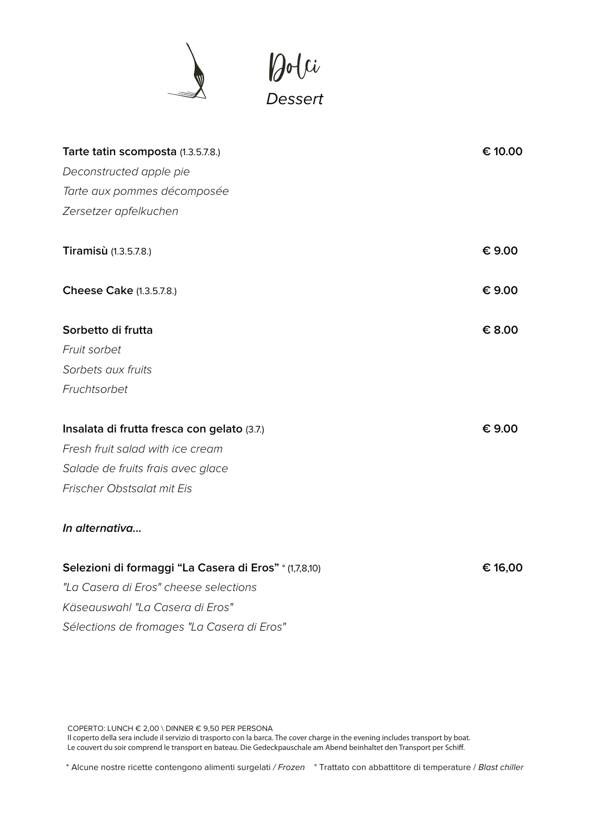



| Tarte tatin scomposta (1.3.5.7.8.)                     | € 10.00 |
|--------------------------------------------------------|---------|
| Deconstructed apple pie                                |         |
| Tarte aux pommes décomposée                            |         |
| Zersetzer apfelkuchen                                  |         |
| Tiramisù (1.3.5.7.8.)                                  | € 9.00  |
| <b>Cheese Cake (1.3.5.7.8.)</b>                        | € 9.00  |
| Sorbetto di frutta                                     | € 8.00  |
| Fruit sorbet                                           |         |
| Sorbets aux fruits                                     |         |
| Fruchtsorbet                                           |         |
| Insalata di frutta fresca con gelato (3.7.)            | € 9.00  |
| Fresh fruit salad with ice cream                       |         |
| Salade de fruits frais avec glace                      |         |
| Frischer Obstsalat mit Eis                             |         |
| In alternativa                                         |         |
| Selezioni di formaggi "La Casera di Eros" ° (1,7,8,10) | € 16,00 |
| "La Casera di Eros" cheese selections                  |         |
| Käseauswahl "La Casera di Eros"                        |         |
| Sélections de fromages "La Casera di Eros"             |         |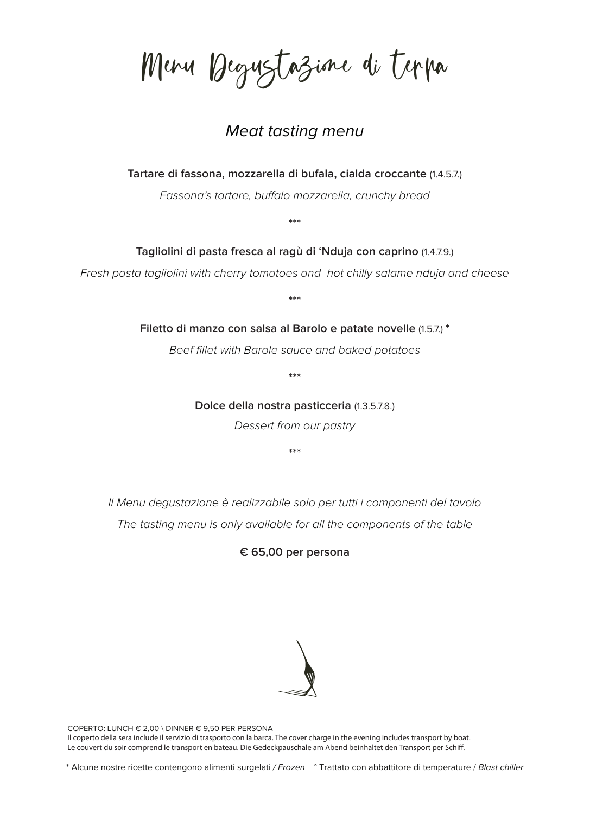Menu Degustazione di terra

## Meat tasting menu

**Tartare di fassona, mozzarella di bufala, cialda croccante** (1.4.5.7.)

Fassona's tartare, buffalo mozzarella, crunchy bread

**\*\*\***

**Tagliolini di pasta fresca al ragù di 'Nduja con caprino** (1.4.7.9.)

Fresh pasta tagliolini with cherry tomatoes and hot chilly salame nduja and cheese

**\*\*\***

**Filetto di manzo con salsa al Barolo e patate novelle** (1.5.7.) **\***

Beef fillet with Barole sauce and baked potatoes

**\*\*\***

**Dolce della nostra pasticceria** (1.3.5.7.8.)

Dessert from our pastry

**\*\*\***

Il Menu degustazione è realizzabile solo per tutti i componenti del tavolo The tasting menu is only available for all the components of the table

**€ 65,00 per persona**

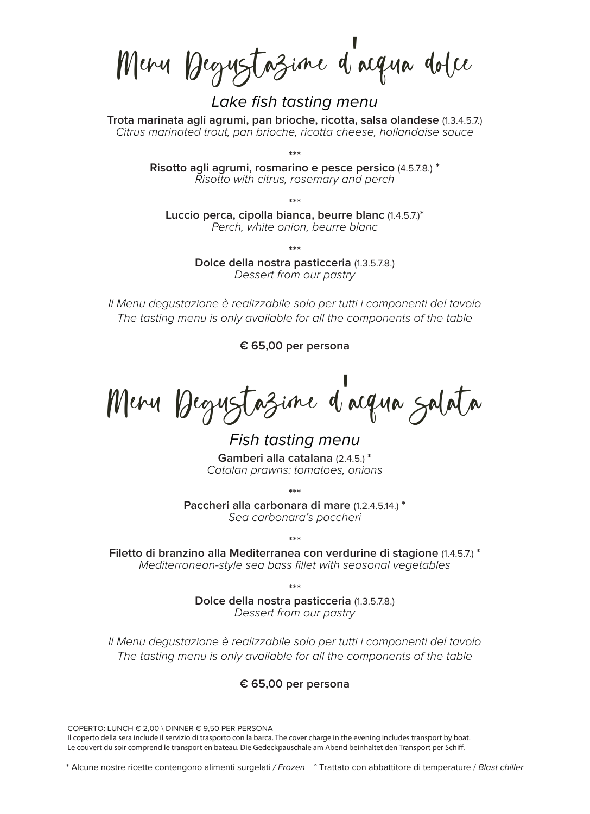Menu Degustazione d' acqua dolce

Lake fish tasting menu

**Trota marinata agli agrumi, pan brioche, ricotta, salsa olandese** (1.3.4.5.7.) Citrus marinated trout, pan brioche, ricotta cheese, hollandaise sauce

**\*\*\***

**Risotto agli agrumi, rosmarino e pesce persico** (4.5.7.8.) **\*** Risotto with citrus, rosemary and perch

**\*\*\***

**Luccio perca, cipolla bianca, beurre blanc** (1.4.5.7.)**\*** Perch, white onion, beurre blanc

**\*\*\***

**Dolce della nostra pasticceria** (1.3.5.7.8.) Dessert from our pastry

Il Menu degustazione è realizzabile solo per tutti i componenti del tavolo The tasting menu is only available for all the components of the table

**€ 65,00 per persona**

Menu Degustazione d'acqua salata

Fish tasting menu **Gamberi alla catalana** (2.4.5.) **\*** Catalan prawns: tomatoes, onions

**\*\*\***

**Paccheri alla carbonara di mare** (1.2.4.5.14.) **\*** Sea carbonara's paccheri

**\*\*\* Filetto di branzino alla Mediterranea con verdurine di stagione** (1.4.5.7.) **\*** Mediterranean-style sea bass fillet with seasonal vegetables

**\*\*\***

**Dolce della nostra pasticceria** (1.3.5.7.8.) Dessert from our pastry

Il Menu degustazione è realizzabile solo per tutti i componenti del tavolo The tasting menu is only available for all the components of the table

## **€ 65,00 per persona**

COPERTO: LUNCH € 2,00 \ DINNER € 9,50 PER PERSONA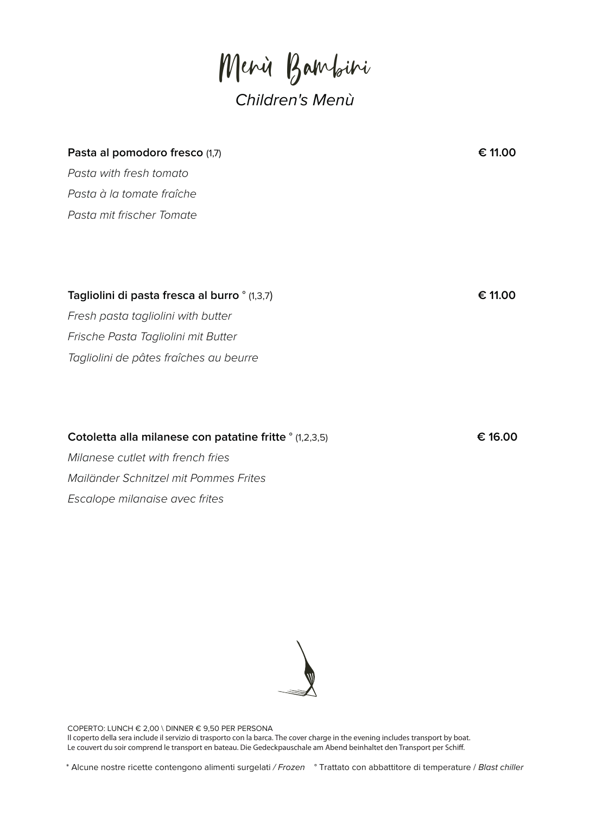Menù Bambini

## Children's Menù

| Pasta al pomodoro fresco (1,7)                | € 11.00 |
|-----------------------------------------------|---------|
| Pasta with fresh tomato                       |         |
| Pasta à la tomate fraîche                     |         |
| Pasta mit frischer Tomate                     |         |
|                                               |         |
|                                               |         |
|                                               |         |
| Tagliolini di pasta fresca al burro ° (1,3,7) | € 11.00 |
| Fresh pasta tagliolini with butter            |         |
| Frische Pasta Tagliolini mit Butter           |         |
| Tagliolini de pâtes fraîches au beurre        |         |
|                                               |         |

## **Cotoletta alla milanese con patatine fritte** ° (1,2,3,5) **€ 16.00**

Milanese cutlet with french fries Mailänder Schnitzel mit Pommes Frites Escalope milanaise avec frites